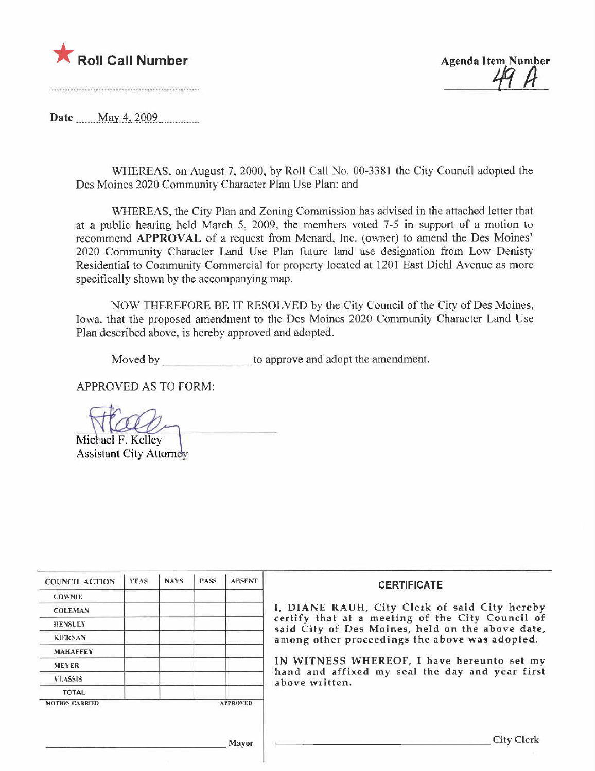



Date  $\qquad$  May 4, 2009

WHEREAS, on August 7, 2000, by Roll Call No. 00-3381 the City Council adopted the Des Moines 2020 Community Character Plan Use Plan: and

WHEREAS, the City Plan and Zoning Commission has advised in the attached letter that at a public hearing held March 5, 2009, the members voted 7.5 in support of a motion to recommend APPROVAL of a request from Menard, Inc. (owner) to amend the Des Moines' 2020 Community Character Land Use Plan future land use designation from Low Denisty Residential to Community Commercial for property located at 1201 East Diehl Avenue as more specifically shown by the accompanying map.

NOW THEREFORE BE IT RESOLVED by the City Council of the City of Des Moines, Iowa, that the proposed amendment to the Des Moines 2020 Community Character Land Use Plan described above, is hereby approved and adopted.

Moved by to approve and adopt the amendment.

APPROVED AS TO FORM:

Michael F. Kelley

**Assistant City Attorney** 

| <b>COUNCIL ACTION</b>                    | <b>YEAS</b> | <b>NAYS</b> | <b>PASS</b> | <b>ABSENT</b> | <b>CERTIFICATE</b>                                                                                                                                    |  |
|------------------------------------------|-------------|-------------|-------------|---------------|-------------------------------------------------------------------------------------------------------------------------------------------------------|--|
| <b>COWNIE</b>                            |             |             |             |               |                                                                                                                                                       |  |
| <b>COLEMAN</b>                           |             |             |             |               | I, DIANE RAUH, City Clerk of said City hereby<br>certify that at a meeting of the City Council of<br>said City of Des Moines, held on the above date, |  |
| <b>HENSLEY</b>                           |             |             |             |               |                                                                                                                                                       |  |
| <b>KIERNAN</b>                           |             |             |             |               | among other proceedings the above was adopted.<br>IN WITNESS WHEREOF, I have hereunto set my                                                          |  |
| <b>MAHAFFEY</b>                          |             |             |             |               |                                                                                                                                                       |  |
| <b>MEYER</b>                             |             |             |             |               |                                                                                                                                                       |  |
| <b>VLASSIS</b>                           |             |             |             |               | hand and affixed my seal the day and year first<br>above written.                                                                                     |  |
| <b>TOTAL</b>                             |             |             |             |               |                                                                                                                                                       |  |
| <b>MOTION CARRIED</b><br><b>APPROVED</b> |             |             |             |               |                                                                                                                                                       |  |
|                                          |             |             |             |               |                                                                                                                                                       |  |
|                                          |             |             |             |               |                                                                                                                                                       |  |
|                                          |             |             |             | Mayor         | <b>City Clerk</b>                                                                                                                                     |  |
|                                          |             |             |             |               |                                                                                                                                                       |  |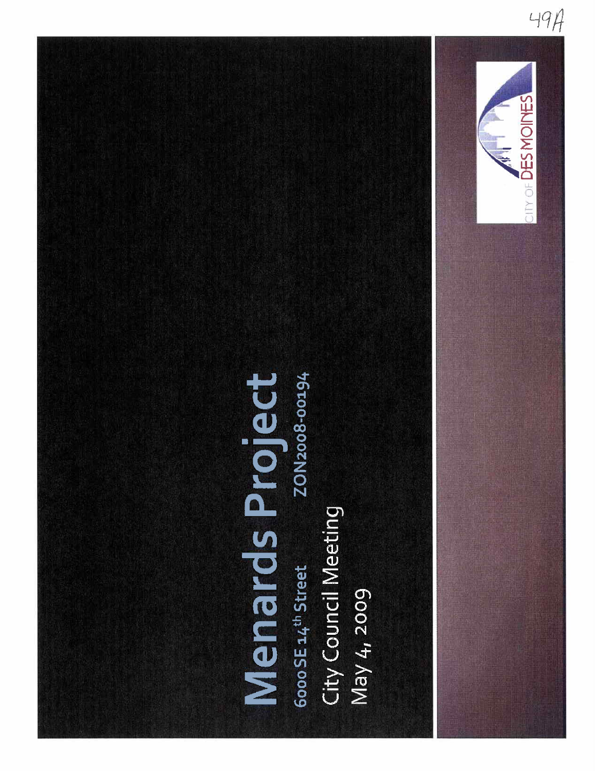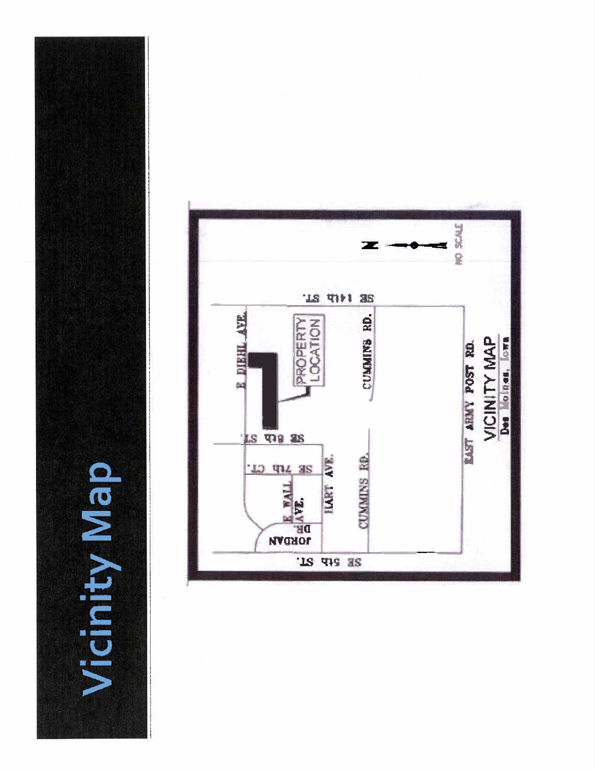olem Apply Ma

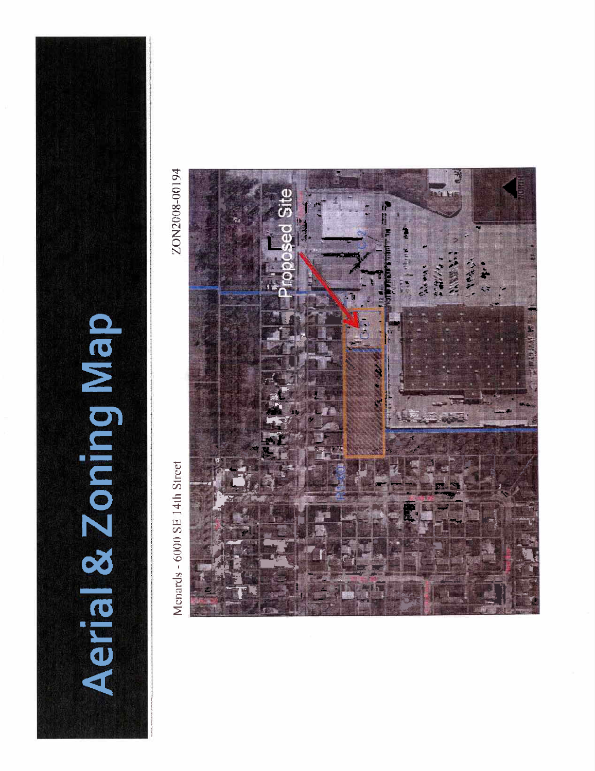

Menards - 6000 SE 14th Street

ZON2008-00194

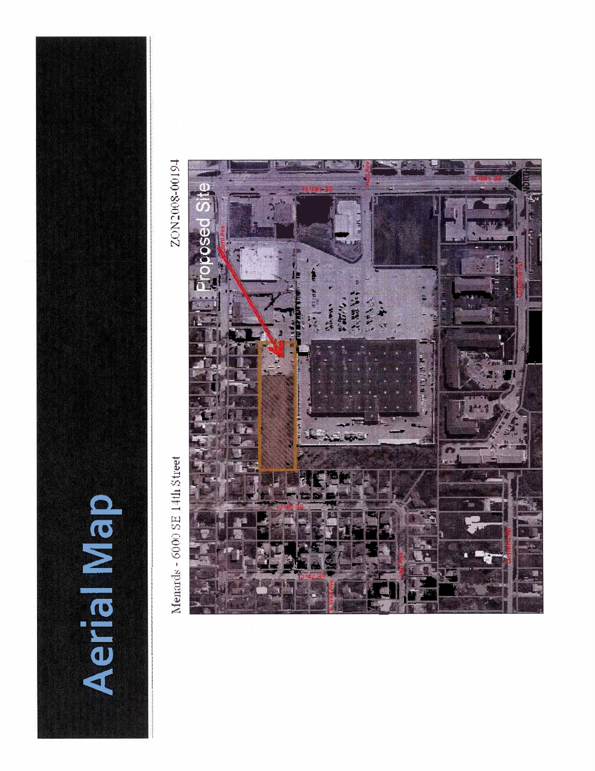![](_page_4_Picture_0.jpeg)

Menards - 6000 SE 14th Street

ZON2008-00194

![](_page_4_Picture_3.jpeg)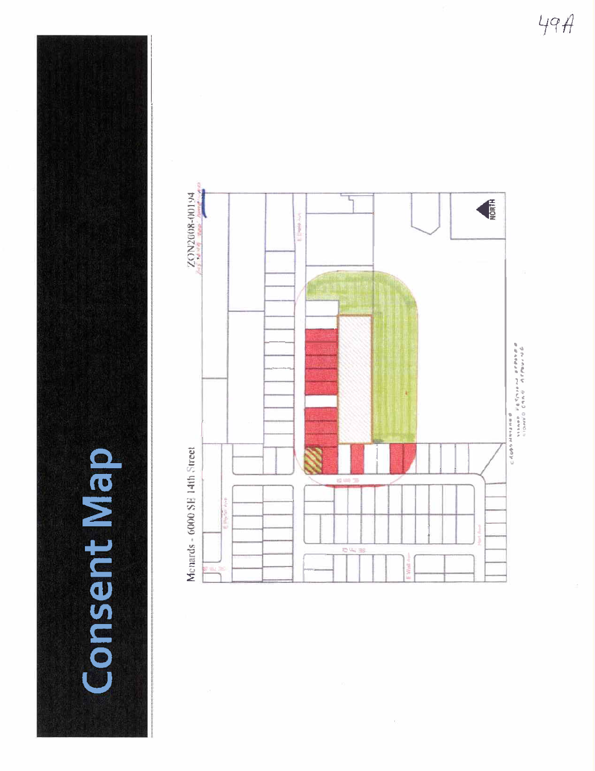![](_page_5_Picture_0.jpeg)

![](_page_5_Figure_1.jpeg)